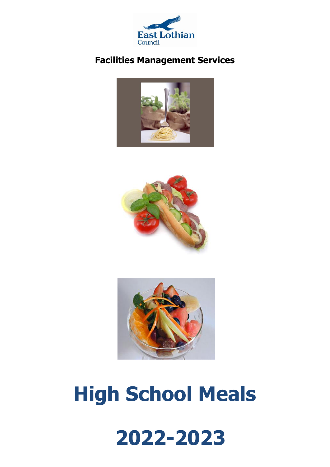

#### **Facilities Management Services**







# **High School Meals**

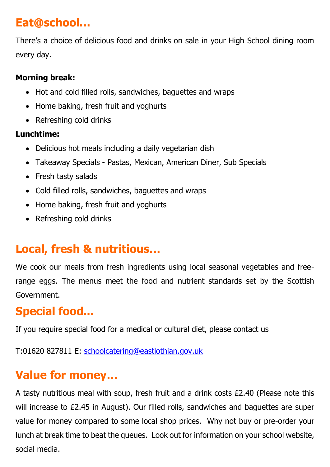## **Eat@school…**

There's a choice of delicious food and drinks on sale in your High School dining room every day.

#### **Morning break:**

- Hot and cold filled rolls, sandwiches, baguettes and wraps
- Home baking, fresh fruit and yoghurts
- Refreshing cold drinks

#### **Lunchtime:**

- Delicious hot meals including a daily vegetarian dish
- Takeaway Specials Pastas, Mexican, American Diner, Sub Specials
- Fresh tasty salads
- Cold filled rolls, sandwiches, baquettes and wraps
- Home baking, fresh fruit and yoghurts
- Refreshing cold drinks

# **Local, fresh & nutritious…**

We cook our meals from fresh ingredients using local seasonal vegetables and freerange eggs. The menus meet the food and nutrient standards set by the Scottish Government.

# **Special food...**

If you require special food for a medical or cultural diet, please contact us

T:01620 827811 E: [schoolcatering@eastlothian.gov.uk](mailto:schoolcatering@eastlothian.gov.uk) 

# **Value for money…**

A tasty nutritious meal with soup, fresh fruit and a drink costs £2.40 (Please note this will increase to £2.45 in August). Our filled rolls, sandwiches and baguettes are super value for money compared to some local shop prices. Why not buy or pre-order your lunch at break time to beat the queues. Look out for information on your school website, social media.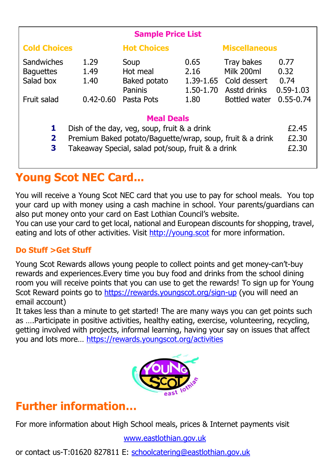| <b>Sample Price List</b>                                                                                                                                                                                                |                                       |                                                                  |                                                |                                                                           |                                                        |
|-------------------------------------------------------------------------------------------------------------------------------------------------------------------------------------------------------------------------|---------------------------------------|------------------------------------------------------------------|------------------------------------------------|---------------------------------------------------------------------------|--------------------------------------------------------|
| <b>Cold Choices</b>                                                                                                                                                                                                     |                                       | <b>Hot Choices</b>                                               |                                                | <b>Miscellaneous</b>                                                      |                                                        |
| Sandwiches<br><b>Baquettes</b><br>Salad box<br>Fruit salad                                                                                                                                                              | 1.29<br>1.49<br>1.40<br>$0.42 - 0.60$ | Soup<br>Hot meal<br>Baked potato<br><b>Paninis</b><br>Pasta Pots | 0.65<br>2.16<br>1.39-1.65<br>1.50-1.70<br>1.80 | Tray bakes<br>Milk 200ml<br>Cold dessert<br>Asstd drinks<br>Bottled water | 0.77<br>0.32<br>0.74<br>$0.59 - 1.03$<br>$0.55 - 0.74$ |
| <b>Meal Deals</b><br>1<br>Dish of the day, veg, soup, fruit & a drink<br>$\overline{\mathbf{2}}$<br>Premium Baked potato/Baguette/wrap, soup, fruit & a drink<br>3<br>Takeaway Special, salad pot/soup, fruit & a drink |                                       |                                                                  |                                                |                                                                           | £2.45<br>£2.30<br>£2.30                                |

## **Young Scot NEC Card...**

You will receive a Young Scot NEC card that you use to pay for school meals. You top your card up with money using a cash machine in school. Your parents/guardians can also put money onto your card on East Lothian Council's website.

You can use your card to get local, national and European discounts for shopping, travel, eating and lots of other activities. Visit [http://young.scot](http://young.scot/) for more information.

#### **Do Stuff >Get Stuff**

Young Scot Rewards allows young people to collect points and get money-can't-buy rewards and experiences.Every time you buy food and drinks from the school dining room you will receive points that you can use to get the rewards! To sign up for Young Scot Reward points go to<https://rewards.youngscot.org/sign-up> (you will need an email account)

It takes less than a minute to get started! The are many ways you can get points such as ….Participate in positive activities, healthy eating, exercise, volunteering, recycling, getting involved with projects, informal learning, having your say on issues that affect you and lots more… <https://rewards.youngscot.org/activities>



## **Further information…**

For more information about High School meals, prices & Internet payments visit

#### [www.eastlothian.gov.uk](http://www.eastlothian.gov.uk/)

or contact us-T:01620 827811 E: [schoolcatering@eastlothian.gov.uk](mailto:schoolcatering@eastlothian.gov.uk)